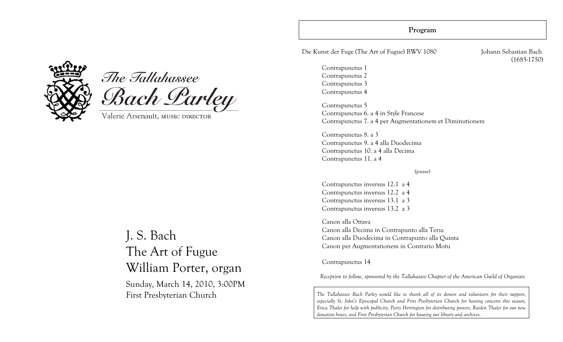### **Program**

Die Kunst der Fuge (The Art of Fugue) BWV 1080 Johann Sebastian Bach

Contrapunctus 1 Contrapunctus 2 Contrapunctus 3 Contrapunctus 4 (1685-1750)

Contrapunctus 5 Contrapunctus 6. a 4 in Style Francese Contrapunctus 7. a 4 per Augmentationem et Diminutionem

Contrapunctus 8. a 3 Contrapunctus 9. a 4 alla Duodecima Contrapunctus 10. a 4 alla Decima Contrapunctus 11. a 4

(pause)

Contrapunctus inversus 12.1 a 4 Contrapunctus inversus 12.2 a 4 Contrapunctus inversus 13.1 a 3 Contrapunctus inversus 13.2 a 3

Canon alla Ottava Canon alla Decima in Contrapunto alla Terza Canon alla Duodecima in Contrapunto alla Quinta Canon per Augmentationem in Contrario Motu

Contrapunctus 14

*Reception to follow, sponsored by the Tallahassee Chapter of the American Guild of Organists*

*The Tallahassee Bach Parley would like to thank all of its donors and volunteers for their support, especially St. John's Episcopal Church and First Presbyterian Church for hosting concerts this season, Erica Thaler for help with publicity, Patty Herrington for distributing posters, Raiden Thaler for our new donation boxes, and First Presbyterian Church for housing our library and archives.*



# The Tallahassee Bach Parley

Valerie Arsenault, MUSIC DIRECTOR

# J. S. Bach The Art of Fugue William Porter, organ

Sunday, March 14, 2010, 3:00PM First Presbyterian Church